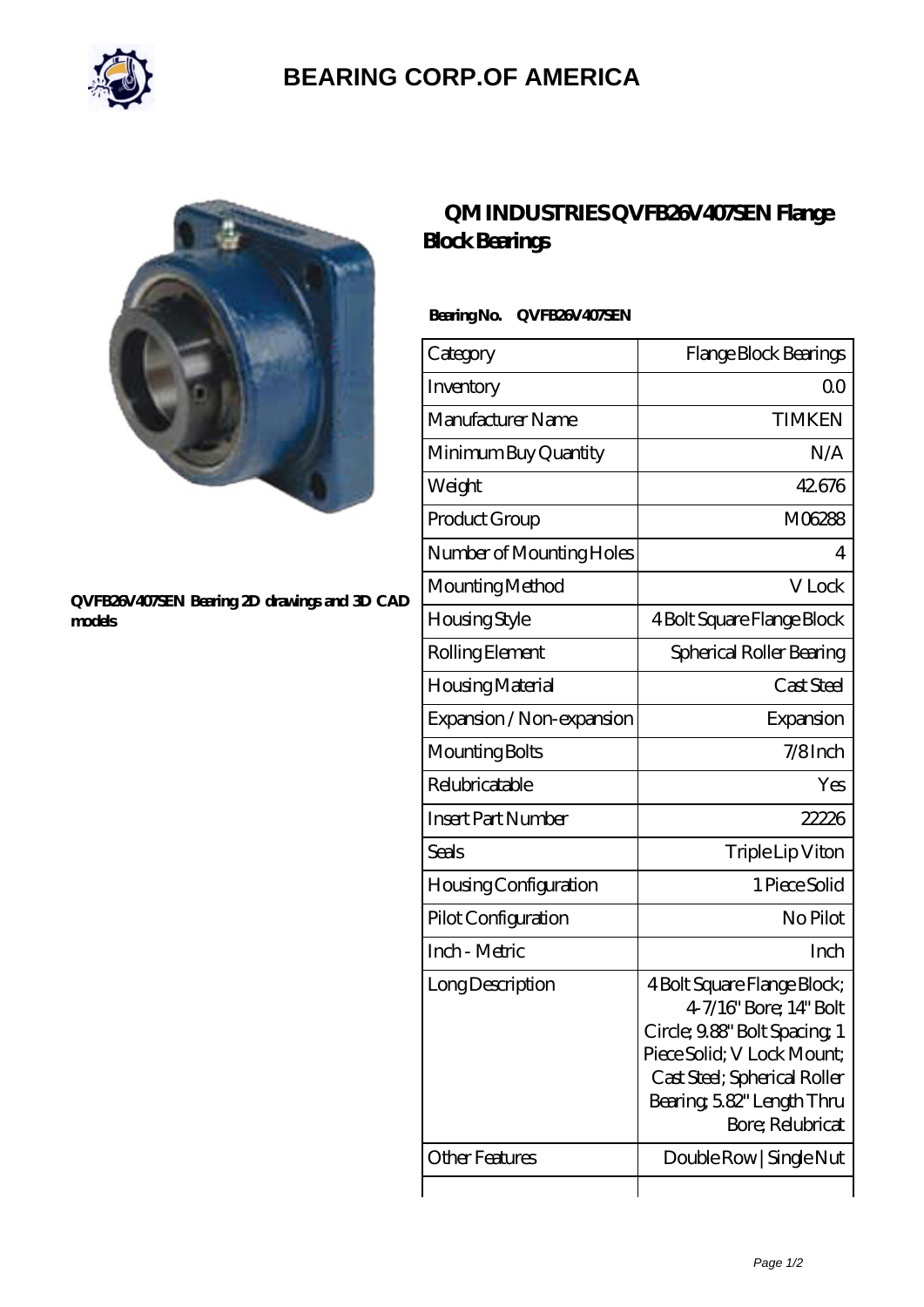

## **[BEARING CORP.OF AMERICA](https://m.bluemondayreview.com)**



#### **[QVFB26V407SEN Bearing 2D drawings and 3D CAD](https://m.bluemondayreview.com/pic-175463.html) [models](https://m.bluemondayreview.com/pic-175463.html)**

### **[QM INDUSTRIES QVFB26V407SEN Flange](https://m.bluemondayreview.com/bd-175463-qm-industries-qvfb26v407sen-flange-block-bearings.html) [Block Bearings](https://m.bluemondayreview.com/bd-175463-qm-industries-qvfb26v407sen-flange-block-bearings.html)**

### **Bearing No. QVFB26V407SEN**

| Category                     | Flange Block Bearings                                                                                                                                                                               |
|------------------------------|-----------------------------------------------------------------------------------------------------------------------------------------------------------------------------------------------------|
| Inventory                    | 00                                                                                                                                                                                                  |
| Manufacturer Name            | <b>TIMKEN</b>                                                                                                                                                                                       |
| Minimum Buy Quantity         | N/A                                                                                                                                                                                                 |
| Weight                       | 42676                                                                                                                                                                                               |
| Product Group                | M06288                                                                                                                                                                                              |
| Number of Mounting Holes     | 4                                                                                                                                                                                                   |
| Mounting Method              | V Lock                                                                                                                                                                                              |
| Housing Style                | 4 Bolt Square Flange Block                                                                                                                                                                          |
| Rolling Element              | Spherical Roller Bearing                                                                                                                                                                            |
| Housing Material             | Cast Steel                                                                                                                                                                                          |
| Expansion / Non-expansion    | Expansion                                                                                                                                                                                           |
| Mounting Bolts               | 7/8Inch                                                                                                                                                                                             |
| Relubricatable               | Yes                                                                                                                                                                                                 |
| <b>Insert Part Number</b>    | 22226                                                                                                                                                                                               |
| <b>Seals</b>                 | Triple Lip Viton                                                                                                                                                                                    |
| <b>Housing Configuration</b> | 1 Piece Solid                                                                                                                                                                                       |
| Pilot Configuration          | No Pilot                                                                                                                                                                                            |
| Inch - Metric                | Inch                                                                                                                                                                                                |
| Long Description             | 4 Bolt Square Flange Block;<br>47/16" Bore; 14" Bolt<br>Circle; 9.88" Bolt Spacing 1<br>Piece Solid; V Lock Mount;<br>Cast Steel; Spherical Roller<br>Bearing, 582" Length Thru<br>Bore; Relubricat |
| <b>Other Features</b>        | Double Row   Single Nut                                                                                                                                                                             |
|                              |                                                                                                                                                                                                     |